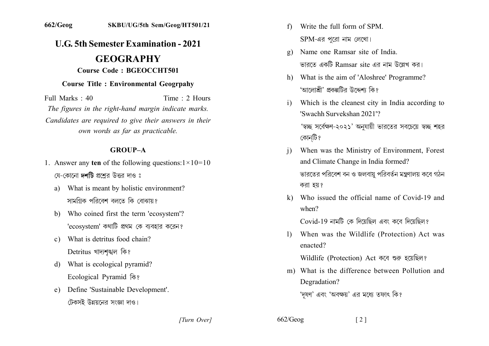# **U.G. 5th Semester Examination - 2021**

## **GEOGRAPHY Course Code: BGEOCCHT501**

### **Course Title: Environmental Geogrpahy**

Full Marks: 40 Time: 2 Hours The figures in the right-hand margin indicate marks. Candidates are required to give their answers in their own words as far as practicable.

#### **GROUP-A**

- 1. Answer any ten of the following questions: $1 \times 10 = 10$ যে-কোনো **দশটি** প্রশ্নের উত্তর দাও ঃ
	- a) What is meant by holistic environment? সামগিক পবিবেশ বলতে কি বোঝায়?
	- b) Who coined first the term 'ecosystem'? 'ecosystem' কথাটি প্রথম কে ব্যবহার করেন?
	- c) What is detritus food chain? Detritus খাদ্যশঙ্খল কি?
	- What is ecological pyramid?  $\mathbf{d}$ Ecological Pyramid कि?
	- e) Define 'Sustainable Development'. টেকসই উন্নয়নের সংজ্ঞা দাও।
- Write the full form of SPM  $f$  $SPM$ -এর পুরো নাম লেখো।
- Name one Ramsar site of India.  $g)$ ভারতে একটি Ramsar site এর নাম উল্লেখ কর।
- h) What is the aim of 'Aloshree' Programme? 'আলোশ্রী' প্রকল্পটির উদ্দেশ্য কি?
- Which is the cleanest city in India according to  $\mathbf{i}$ 'Swachh Survekshan 2021'? 'স্বচ্ছ সর্বেক্ষণ-২০২১' অনুযায়ী ভারতের সবচেয়ে স্বচ্ছ শহর কোন্টি?
- When was the Ministry of Environment, Forest and Climate Change in India formed? ভারতের পরিবেশ বন ও জলবায় পরিবর্তন মন্ত্রণালয় কবে গঠন করা হয়?
- k) Who issued the official name of Covid-19 and  $when?$

Covid-19 নামটি কে দিয়েছিল এবং কবে দিয়েছিল?

1) When was the Wildlife (Protection) Act was enacted?

Wildlife (Protection) Act কৰে শুরু হয়েছিল?

m) What is the difference between Pollution and Degradation?

'দষণ' এবং 'অবক্ষয়' এর মধ্যে তফাৎ কি?

[Turn Over]

 $662/Geog$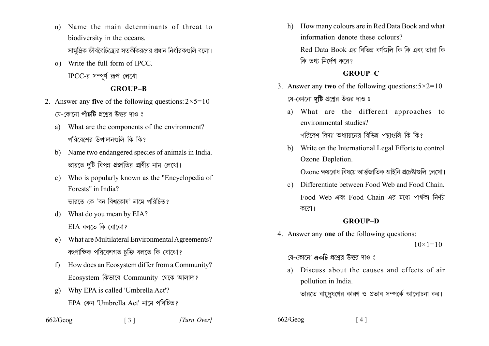- Name the main determinants of threat to  $n)$ biodiversity in the oceans. সামদ্রিক জীববৈচিত্রোর সতর্কীকরণের প্রধান নির্ধারকগুলি বলো।
- o) Write the full form of IPCC.  $\text{IPCC-} \bar{\mathfrak{A}}$  সম্পূর্ণ রূপ লেখো।

## **GROUP-B**

- 2. Answer any five of the following questions:  $2 \times 5 = 10$ যে-কোনো পাঁচটি প্রশ্নের উত্তর দাও ঃ
	- What are the components of the environment? a) পরিবেশের উপাদানগুলি কি কি?
	- b) Name two endangered species of animals in India. ভারতে দটি বিপন্ন প্রজাতির প্রাণীর নাম লেখো।
	- c) Who is popularly known as the "Encyclopedia of Forests" in India? ভারতে কে 'বন বিশ্বকোষ' নামে পরিচিত?
	- What do you mean by EIA? d)  $EIA$  বলতে কি বোঝো?
	- e) What are Multilateral Environmental Agreements? বহুপাক্ষিক পরিবেশগত চক্তি বলতে কি বোঝো?
	- How does an Ecosystem differ from a Community?  $f$ Ecosystem কিভাবে Community থেকে আলাদা?

 $\begin{bmatrix} 3 \end{bmatrix}$ 

- Why EPA is called 'Umbrella Act'?  $\mathfrak{g}$ ) EPA কেন 'Umbrella Act' নামে পরিচিত?
- $662/Geog$

h) How many colours are in Red Data Book and what information denote these colours? Red Data Book এর বিভিন্ন বর্ণগুলি কি কি এবং তারা কি

কি তথ্য নির্দেশ করে?

## **GROUP-C**

- 3. Answer any two of the following questions:  $5 \times 2 = 10$ যে-কোনো দটি প্রশ্নের উত্তর দাও ঃ
	- a) What are the different approaches to environmental studies? পরিবেশ বিদ্যা অধ্যায়নের বিভিন্ন পন্থাগুলি কি কি?
	- b) Write on the International Legal Efforts to control Ozone Depletion.

Ozone ক্ষয়রোধ বিষয়ে আর্ন্তজাতিক আইনি প্রচেষ্টাগুলি লেখো।

c) Differentiate between Food Web and Food Chain. Food Web এবং Food Chain এর মধ্যে পার্থকা নির্ণয় করো।

## **GROUP-D**

4. Answer any one of the following questions:

 $10 \times 1 = 10$ 

- য়ে-কোনো **একটি** প্রশ্নের উত্তর দাও ঃ
- Discuss about the causes and effects of air  $\mathbf{a}$ pollution in India.

 $\lceil 4 \rceil$ 

ভারতে বায়দষণের কারণ ও প্রভাব সম্পর্কে আলোচনা কর।

 $662/Geog$